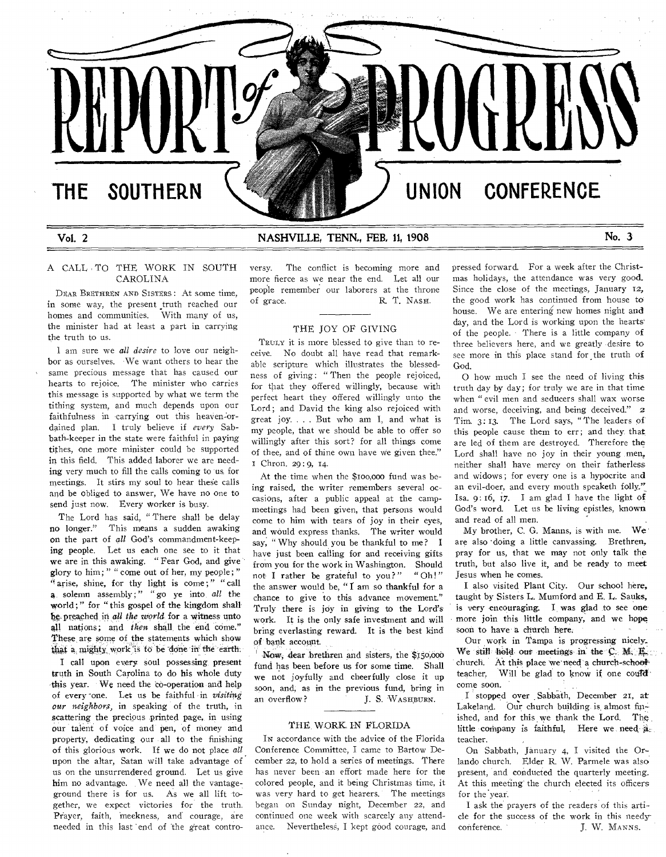# **THE SOUTHERN UNION CONFERENCE**

**REPUE** 

## Vol. 2 **NASHVILLE TENN" FEB, 11, 1908 No. 3**

## A CALL TO THE WORK IN SOUTH CAROLINA

DEAR BRETHREN AND SISTERS: At some time, in some way, the present truth reached our homes and communities. With many of us, the minister had at least a part in carrying the truth to us.

1 am sure we *all desire* to love our neighbor as ourselves. We want others to hear the same precious message that has caused our hearts to rejoice. The minister who carries this message is supported by what we term the tithing system, and much depends upon our faithfulness in carrying out this heaven-ordained plan. I truly believe if every Sabbath-keeper in the state were faithful in paying tithes, one more minister could be supported in this field. This added laborer we are needing very much to fill the calls coming to us for meetings. It stirs my soul to hear these calls arid be obliged to answer, We have no one to send just now. Every worker is busy.

The Lord has said, " There shall be delay no longer." This means a sudden awaking on the part of *all* God's commandment-keeping people. Let us each one see to it that we are in this awaking. " Fear God, and give glory to him; " " come out of her, my people; " "arise, shine, for thy light is come;" " call a solemn assembly ; " " go ye into *all* the world;" for "this gospel of the kingdom shall be preached in *all the world* for a witness unto all nations; and *then* shall the end come." These are some of the statements which show that a mighty work is to be done in the earth.

I call upon every soul possessing present truth in South Carolina to do his whole duty -this year. We need the co-operation and help of every -one. Let us be faithful in *visiting our neighbors,* in speaking of the truth, in scattering the precious printed page, in using our talent of voice and pen, of money and property, dedicating our all to the finishing of this glorious work. If we do not place *all*  upon the altar, Satan will take advantage of us on the unsurrendered ground. Let us give him no advantage. We need all the vantageground there is for us. As we all lift 'together, we expect victories for the truth. Prayer, faith, meekness, and courage, are needed in this last 'end of the great contro-

versy. The conflict is becoming more and more fierce as we near the end. Let all our people remember our laborers at the throne of grace. R. T. NASH.

## THE JOY OF GIVING

TRuLv it is more blessed to give than to receive. No doubt all have read that remarkable scripture which illustrates the blessedness of giving: "Then the people rejoiced, for that they offered willingly, because with perfect heart they offered willingly unto the Lord; and David the king also rejoiced with great joy. . . . But who am I, and what is my people, that we should be able to offer so willingly after this sort? for all things come of thee, and of thine own have we given thee." Chron. 29 : 9, 14.

At the time when the \$roo,000 fund was being raised, the writer remembers several occasions, after a public appeal at the campmeetings had been given, that persons would come to him with tears of joy in their eyes, and would express thanks. The writer would say, " Why should you be thankful to me? I have just been calling for and receiving gifts from you for the work in Washington. Should not I rather be grateful to you?" " Oh!" the answer would be, " $\vec{l}$  am so thankful for a chance to give to this advance movement." Truly there is joy in giving to the Lord's work. It is the only safe investment and will bring everlasting reward. It is the best kind of bank account.

Now, dear brethren and sisters, the \$150,000 fund has been before us for some time. Shall we not joyfully and cheerfully close it up soon, and, as in the previous fund, bring in an overflow? J. S. WASHBURN.

#### THE. WORK IN FLORIDA

IN accordance with the advice of the Florida Conference Committee, I came to Bartow December 22, to hold a series of meetings. There has never been an effort made here for the colored people, and it being Christmas time, it was very hard to get hearers. The meetings began on Sunday night, December 22, and continued one week with scarcely any attendance. Nevertheless, I kept good courage, and

pressed forward. For a week after the Christmas holidays, the attendance was very good. Since the close of the meetings, January 12, the good work has continued from house 16 house. We are entering new homes night and day, and the Lord is working upon the hearts' of the people. There is a little company of three believers here, and we greatly desire to see more in this place stand for the truth of God.

O how much I see the need of living this truth day by day; for truly we are in that time when " evil men and seducers shall wax worse and worse, deceiving, and being deceived." 2 Tim. 3:13. The Lord says, "The leaders of this people cause them to err; and they that are led of them are destroyed. Therefore the Lord shall have no joy in their young men, neither shall have mercy on their fatherless and widows ; for every one is a hypocrite and an evil-doer, and every mouth speaketh folly." Isa. 9: 16, 17. I am glad I have the light of God's word. Let us be living epistles, known and read of all men.

My brother, C. G. Manns, is with me. We are also doing a little canvassing. Brethren, pray for us, that we may not only talk the truth, but also live it, and be ready to meet Jesus when he comes.

I also visited Plant City. Our school here, taught by Sisters L. Mumford and E. L. Sauks, is very encouraging, I was glad to see one more join this little company, and we hope soon to have a church here.

Our work in Tampa is progressing nicely-, We still hold out meetings in the  $C$ . M. E. church. At this place we need a church-schoolteacher. Will be glad to know if one could come soon.

I stopped over . Sabbath, December 21, at Lakeland. Our church building is almost finished, and for this we thank the Lord. The little company is faithful, Here we need  $a<sub>z</sub>$ teacher.

On Sabbath, January 4, I visited the Orlando church. Elder R. W. Parmele was also present, and conducted the quarterly meeting. At this meeting' the church elected its officers for the year.

I ask the prayers of the readers of this article for the success of the work in this needy conference. J. W. MANNS.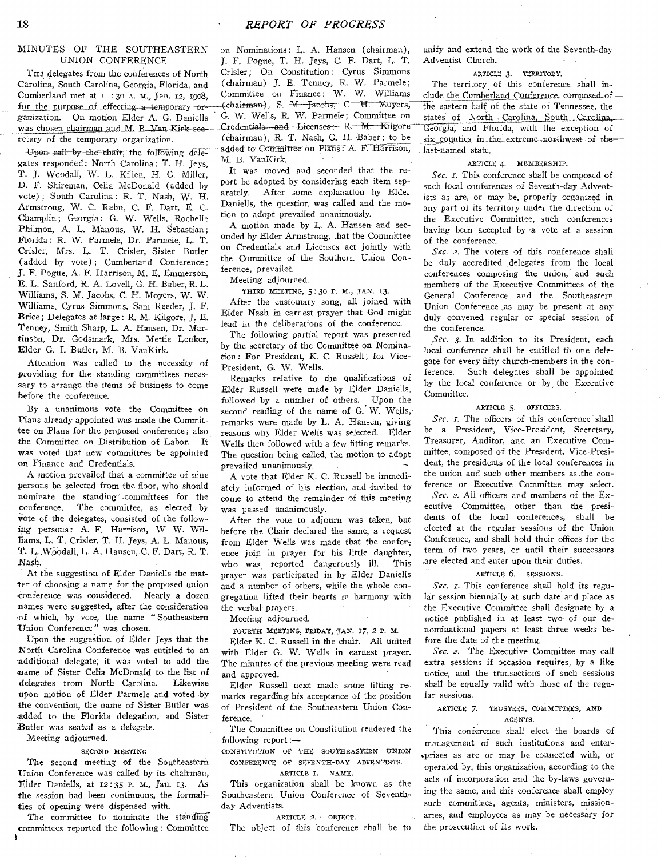## MINUTES OF THE SOUTHEASTERN UNION CONFERENCE

THE delegates from the conferences of North Carolina, South Carolina, Georgia, Florida, and Cumberland met at 11:30 A. M., Jan. 12, 1908, for the purpose of effecting a temporary organization. On motion Elder A. G. Daniells was chosen chairman and M. B. Van Kirk-seeretary of the temporary organization.

Upon call-by-the- chair;the fOltowing delegates responded: North Carolina: T. H. Jeys, T. J. Woodall, W. L. Killen, H. G. Miller, D. F. Shireman, Celia McDonald (added by vote) ; South Carolina: R. T. Nash, W. H. Armstrong, W. C. Rahn, C. F. Dart, E. C. Champlin; Georgia: G. W. Wells, Rochelle Philmon, A. L. Manous, W. H. Sebastian; Florida : R. W. Parmele, Dr. Parmele, L. T. Crisler, Mrs. L. T. Crisler, Sister Butler (added by vote) ; Cumberland Conference: J. F. Pogue, A. F. Harrison, M. E. Emmerson, E. L. Sanford, R. A. Lovell, G. H. Baber, R. L Williams, S. M. Jacobs, C. H. Moyers, W. W. Williams, Cyrus Simmons, Sam. Reeder, J. F. Brice; Delegates at large: R. M. Kilgore, J. E. Tenney, Smith Sharp, L. A. Hansen, Dr. Martinson, Dr. Godsmark, Mrs. Mettie Lenker, Elder G. I. Butler, M. B. VanKirk.

Attention was called to the necessity of providing for the standing committees necessary to arrange the items of business to come before the conference.

By a unanimous vote the Committee on Plans already appointed was made the Committee on Plans for the proposed conference; also the Committee on Distribution of Labor. It was voted that new committees be appointed on Finance and Credentials.

A motion prevailed that a committee of nine persons be selected from the floor, who should nominate the standing' .committees for the conference. The committee, as elected by vote of the delegates, consisted of the following persons: A. F. Harrison, W. W. Williams, L. T. Crisler, T. H. Jeys, A. L. Manous, T. L. Woodall, L. A. Hansen, C. F. Dart, R. T. Nash.

At the suggestion of Elder Daniells the matter of choosing a name for the proposed union conference was considered. Nearly a dozen names were suggested, after the consideration .of which, by vote, the name " Southeastern Union Conference" was chosen.

Upon the suggestion of Elder Jeys that the North Carolina Conference was entitled to an additional delegate, it was voted to add the name of Sister Celia McDonald to the list of<br>delegates from North Carolina. Likewise delegates from North Carolina. upon motion of Elder Parmele and voted by the convention, the name of Sister Butler was .added to the Florida delegation, and Sister Butler was seated as a delegate.

Meeting adjourned.

#### SECOND MEETING

The second meeting of the Southeastern Union Conference was called by its chairman, Elder Daniells, at 12:35 P. M., Jan. 13. As the session had been continuous, the formalities of opening were dispensed with.

The committee to nominate the standing committees reported the following: Committee on Nominations: L. A. Hansen (chairman), J. F. Pogue, T. H. Jeys, C. F. Dart, L. T. Crisler; On Constitution: Cyrus Simmons (chairman) J. E. Tenney, R. W. Parmele; Committee on Finance: W. W. Williams (chairman), S. M. Jacobs, C. H. Moyers, G. W. Wells, R. W. Parmele; Committee on Credentials-and Lieenses: R. M. Kilgore (chairman), R. T. Nash, G. H. Baber; to be added to Committee on Plans: A. F. Harrison, M. B. VanKirk.

It was moved and seconded that the report be adopted by considering each item separately. After some explanation by Elder Daniells, the question was called and the motion to adopt prevailed unanimously.

A motion made by L. A. Hansen and seconded by Elder Armstrong, that the Committee on Credentials and Licenses act jointly with the Committee of the Southern Union Conference, prevailed.

Meeting adjourned.

THIRD MEETING, 5 : 30 P. NI., JAN. 13. After the customary song, all joined with Elder Nash in earnest prayer that God might lead in the deliberations of the conference.

The following partial report was presented by the secretary of the Committee on Nomination : For President, K. C. Russell; for Vice-President, G. W. Wells.

Remarks relative to the qualifications of Elder Russell were made by Elder Daniells, followed by a number of others. Upon the second reading of the name of G. W. Wells, remarks were made by L. A. Hansen, giving reasons why Elder Wells was selected. Elder Wells then followed with a few fitting remarks. The question being called, the motion to adopt prevailed unanimously.

A vote that Elder K. C. Russell be immediately informed of his election, and invited to come to attend the remainder of this meeting was passed unanimously.

After the vote to adjourn was taken, but before the Chair declared the same, a request from Elder Wells was made that the conference join in prayer for his little daughter,<br>who was reported dangerously ill. This who was reported dangerously ill. prayer was participated in by Elder Daniells and a number of others, while the whole congregation lifted their hearts in harmony with the- verbal prayers.

Meeting adjourned.

FOURTH MEETING, FRIDAY, JAN. 17, 2 P. M.

Elder K. C. Russell in the chair. All united with Elder G. W. Wells in earnest prayer. The minutes of the previous meeting were read and approved.

Elder Russell next made some fitting remarks regarding his acceptance of the position of President of the Southeastern Union Conference.

The Committee on Constitution rendered the following report :-

CONSTITUTION OF THE SOUTHEASTERN UNION CONFERENCE OF SEVENTH-DAY ADVENTISTS. ARTICLE I. NAME.

This organization shall be known as the Southeastern Union Conference of Seventhday Adventists.

ARTICLE 2. OBJECT.

The object of this conference shall be to

unify and extend the work of the Seventh-day Adventist Church.

## ARTICLE 3. TERRITORY.

the eastern half of the state of Tennessee, the states of North Carolina, South Carolina, Georgia, and Florida, with the exception of six counties in the extreme northwest-of the-. last-named state. The territory of this conference shall include the Cumberland Conference, composed of

#### ARTICLE 4. MEMBERSHIP.

Sec. *I*. This conference shall be composed of such local conferences of Seventh-day Adventists as are, or may be, properly organized in any part of its territory under the direction of the Executive Committee, such conferences having been accepted by a vote at a session of the conference.

*Sec. 2.* The voters of this conference shall be duly accredited delegates from the local conferences composing the union, and such members of the Executive Committees of the General Conference and the Southeastern Union Conference ,as may be present at any duly convened regular or special session of the conference.

*Sec. 3.* In addition to its President, each local conference shall be entitled to one delegate for every fifty church-members in the conference. Such delegates shall be appointed by the local conference or by the Executive Committee.

## ARTICLE 5. OFFICERS.

*Sec. I.* The officers of this conference shall be a President, Vice-President, Secretary, Treasurer, Auditor, and an Executive Committee, composed of the President, Vice-President, the presidents of the local conferences in the union and such other members as the conference or Executive Committee may select. *Sec. 2.* All officers and members of the Ex-

ecutive Committee, other than the presidents of the local conferences, shall be elected at the regular sessions of the Union Conference, and shall hold their offices for the term of two years, or until their successors .are elected and enter upon their duties.

## ARTICLE 6. SESSIONS.

*Sec. 1.* This conference shall hold its regular session biennially at such date and place as the Executive Committee shall designate by a notice published in at least two of our denominational papers at least three weeks before the date of the meeting.

*Sec. 2.* The Executive Committee may call extra sessions if occasion requires, by a like notice, and the transactions of such sessions shall be equally valid with those of the regular sessions.

#### ARTICLE 7. TRUSTEES, COMMITTEES, AND AGENTS.

This conference shall elect the boards of management of such institutions and enterprises as are or may be connected with, or operated by, this organization, according to the acts of incorporation and the by-laws governing the same, and this conference shall employ such committees, agents, ministers, missionaries, and employees as may be necessary for the prosecution of its work.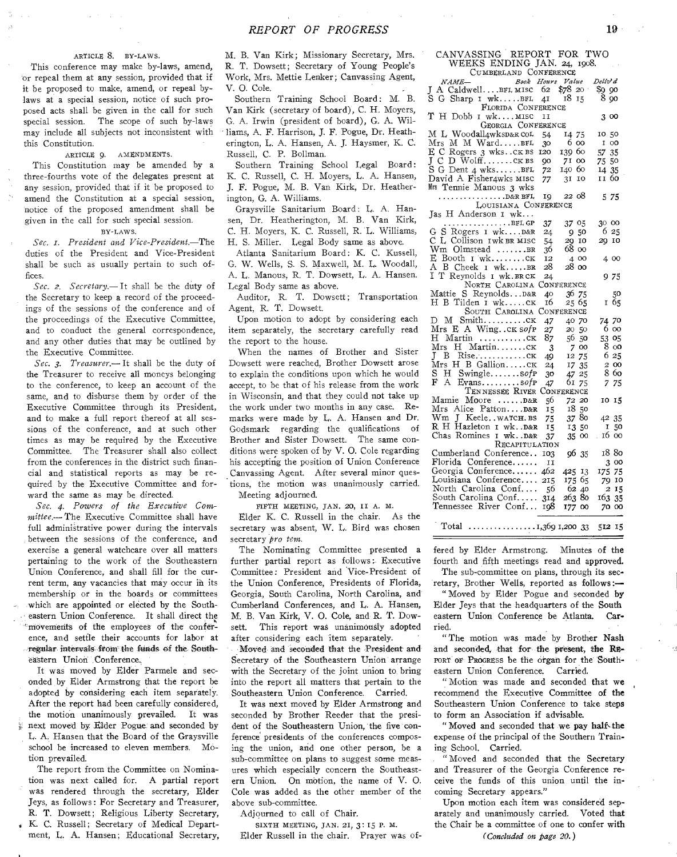## ARTICLE 8. BY-LAWS.

This conference may make by-laws, amend, or repeal them at any session, provided that if it be proposed to make, amend, or repeal bylaws at a special session, notice of such proposed acts shall be given in the call for such special session. The scope of such by-laws may include all subjects not inconsistent with this Constitution.

#### ARTICLE 9. AMENDMENTS.

This Constitution may be amended by a three-fourths vote of the delegates present at any session, provided that if it be proposed to amend the Constitution at a special session, notice of the proposed amendment shall be given in the call for such special session.

## BY-LAWS.

*Sec. r. President and Vice-President.—The*  duties of the President and Vice-President shall be such as usually pertain to such offices.

*Sec. 2. Secretary.—* It shall be the duty of the Secretary to keep a record of the proceedings of the sessions of the conference and of the proceedings of the Executive Committee, and to conduct the general correspondence, and any other duties that may be outlined by the Executive Committee.

*Sec. 3. Treasurer.—* It shall be the duty of the Treasurer to receive all moneys belonging to the conference, to keep an account of the same, and to disburse them by order of the Executive Committee through its President, and to make a full report thereof at all sessions of the conference, and at such other times as may be required by the Executive Committee. The Treasurer shall also collect from the conferences in the district such financial and statistical reports as may be required by the Executive Committee and forward the same as may be directed.

*Sec. 4. Powers of the Executive Committee.—* The Executive Committee shall have full administrative power during the intervals between the sessions of the conference, and exercise a general watchcare over all matters pertaining to the work of the Southeastern Union Conference, and shall fill for the current term, any vacancies that may occur in its membership or in the boards or committees • which are appointed or elected by the Southeastern Union Conference. It shall direct the movements of the employees of the conference, and settle their accounts for labor at regular intervals from the funds of the Southeastern Union Conference.,

It was moved by Elder Parmele and seconded by Elder Armstrong that the report be adopted by considering each item separately. After the report had been carefully considered, the motion unanimously prevailed. It was next moved by Elder Pogue and seconded by L. A. Hansen that the Board of the Graysville school be increased to eleven members. Motion prevailed.

The report from the Committee on Nomination was next called for. A partial report was rendered through the secretary, Elder Jeys, as follows : For Secretary and Treasurer, R. T. Dowsett; Religious Liberty Secretary,

K. C. Russell; Secretary of Medical Department, L. A. Hansen; Educational Secretary,

M. B. Van Kirk; Missionary Secretary, Mrs. R. T. Dowsett; Secretary of Young People's Work, Mrs. Mettie Lenker ; Canvassing Agent, V. 0. Cole.

Southern Training School Board: M. B. Van Kirk (secretary of board), C. H. Moyers, G. A. Irwin (president of board), G. A. Williams, A. F. Harrison, J. F. Pogue, Dr. Heatherington, L. A. Hansen, A. J. Haysmer, K. C. Russell, C. P. Bollman.

Southern Training School Legal Board: K. C. Russell, C. H. Moyers, L. A. Hansen, J. F. Pogue, M. B. Van Kirk, Dr. Heatherington, G. A. Williams.

Graysville Sanitarium Board: L. A. Hansen, Dr. Heatherington, M. B. Van Kirk, C. H. Moyers, K. C. Russell, R. L. Williams, H. S. Miller. Legal Body same as above.

Atlanta Sanitarium Board: K. C. Kussell, G. W. Wells, S. S. Maxwell, M. L. Woodall, A. L. Manous, R. T. Dowsett, L. A. Hansen. Legal Body same as above.

Auditor, R. T. Dowsett; Transportation Agent, R. T. Dowsett.

Upon motion to adopt by considering each item separately, the secretary carefully read the report to the house.

When the names of Brother and Sister Dowsett were reached, Brother Dowsett arose to explain the conditions upon which he would accept, to be that of his release from the work in Wisconsin, and that they could not take up the work under two months in any case. Remarks were made by L. A. Hansen and Dr. Godsmark regarding the qualifications of Brother and Sister Dowsett. The same conditions were spoken of by V. 0. Cole regarding his accepting the position of Union Conference Canvassing Agent. After several minor questions, the motion was unanimously carried. Meeting adjourned.

FIFTH MEETING, JAN. 20, II A. M.

Elder K. C. Russell in the chair. As the secretary was absent, W. L. Bird was chosen secretary *pro tem.* 

The Nominating Committee presented a further partial report as follows: Executive Committee: President and Vice-President of the Union Conference, Presidents of Florida, Georgia, South Carolina, North Carolina, and Cumberland Conferences, and L. A, Hansen, M. B. Van Kirk, V. 0. Cole, and R. T. Dowsett. This report was unanimously adopted after considering each item separately.

Moved and seconded that the President and Secretary of the Southeastern Union arrange with the Secretary of the joint union to, bring into the report all matters that pertain to the Southeastern Union Conference. Carried.

It was next moved by Elder Armstrong and seconded by Brother Reeder that the president of the Southeastern Union, the five conference presidents of the conferences composing the union, and one other person, be a sub-committee on plans to suggest some measures which especially concern the Southeastern Union. On motion, the name of V. 0. Cole was added as the other member of the above sub-committee.

Adjourned to call of Chair.

SIXTH MEETING, JAN. 21, 3: 15 P. M. Elder Russell in the chair. Prayer was of-

| CANVASSING REPORT FOR TWO                                              |        |            |            |  |  |  |  |
|------------------------------------------------------------------------|--------|------------|------------|--|--|--|--|
| WEEKS ENDING JAN. 24, 1908.                                            |        |            |            |  |  |  |  |
| CUMBERLAND CONFERENCE                                                  |        |            |            |  |  |  |  |
| NAME-<br>J A CaldwellBFL MISC 62 \$78 20                               |        |            | Deliv' d   |  |  |  |  |
|                                                                        |        |            | \$9 90     |  |  |  |  |
| S G Sharp 1 wkBFL 41 18 15                                             |        |            | - 8 oo     |  |  |  |  |
| FLORIDA CONFERENCE                                                     |        |            |            |  |  |  |  |
| T H Dobb I wkMISC                                                      | H      |            | 3 00       |  |  |  |  |
| GEORGIA CONFERENCE                                                     |        |            |            |  |  |  |  |
| ML Woodall4wksD&R COL 54                                               |        | 14 75      | 10 50      |  |  |  |  |
| Mrs M M WardBFL 30<br>E C Rogers 3 wksck BS 120<br>J C D Wolffck BS 90 |        | 600        | I 00       |  |  |  |  |
|                                                                        |        | 139 60     | 57 35      |  |  |  |  |
|                                                                        |        | 71 00      | 75 50      |  |  |  |  |
| $S$ G Dent 4 wksBFL $72$                                               |        | 140 60     | 14 35      |  |  |  |  |
| David A Fisher4wks MISC 77 3I IO                                       |        |            | 11 60      |  |  |  |  |
| Mrs Tennie Manous 3 wks                                                |        |            |            |  |  |  |  |
|                                                                        |        |            | 5 75       |  |  |  |  |
| LOUISIANA CONFERENCE                                                   |        |            |            |  |  |  |  |
| Jas H Anderson I wk                                                    |        |            |            |  |  |  |  |
| G S Rogers I wkD&R                                                     | 37     | 37 05      | 30 00      |  |  |  |  |
|                                                                        | 24     | 950        | 6 25       |  |  |  |  |
| C L Collison Iwk BR MISC                                               | 54     | 20 IO      | 20 10      |  |  |  |  |
| Wm Olmstead BR                                                         | 36     | 68 00      |            |  |  |  |  |
| E Booth I wkCK                                                         | 12     | 4 00       | 4 00       |  |  |  |  |
| A B Cheek I wkBR                                                       | 28     | 28 00      |            |  |  |  |  |
| I T Reynolds I wk. BRCK                                                | 24     |            | 975        |  |  |  |  |
| NORTH CAROLINA CONFERENCE                                              |        |            |            |  |  |  |  |
| Mattie S ReynoldsD&R                                                   | 40     | 36 75      | 50         |  |  |  |  |
| H B Tilden I wkCK                                                      | 16     | 25 65      | 165        |  |  |  |  |
| SOUTH CAROLINA CONFERENCE                                              |        |            |            |  |  |  |  |
| D M SmithCK<br>Mrs E A Wingck sofp                                     | 47     | 40 70      | 74 70      |  |  |  |  |
|                                                                        | 27     | 20 50      | 6 00       |  |  |  |  |
| $H$ Martin $cx$                                                        | 87     | 56 50      | 53 05      |  |  |  |  |
| Mrs H MartinCK                                                         | 3      | 7 00       | $8\degree$ |  |  |  |  |
| $J$ B Rise $CK$                                                        | 49     | 12 75      | 6 25       |  |  |  |  |
| Mrs H B Gallionck                                                      | 24     | 17 35      | 2 00       |  |  |  |  |
| S.<br>$H$ Swinglesofp                                                  | 30     | 47 25      | 860        |  |  |  |  |
| $\mathbf{A}$<br>F<br>$Evans.$ $\frac{softmax}{sum}$                    | 47     | 61 75      | 7 75       |  |  |  |  |
| TENNESSEE RIVER                                                        |        | CONFERENCE |            |  |  |  |  |
| Mamie Moore  D&R                                                       | 56     | 72 20      | 10 15      |  |  |  |  |
| Mrs Alice PattonD&R                                                    | $15 -$ | 1850       |            |  |  |  |  |
| Wm J KeelewaTCH.BS<br>R H Hazleton I wkD&R                             | 75     | 3780       | 42 35      |  |  |  |  |
|                                                                        | 15     | 13 50      | I 50       |  |  |  |  |

| R H Hazleton I wk. D&R 15   |        |       | 13 50 1 50 |  |
|-----------------------------|--------|-------|------------|--|
| Chas Romines I wk. D&R 37   |        | 35 00 | . 16 00    |  |
| RECAPITULATION              |        |       |            |  |
| Cumberland Conference 103   | 96,35  |       | 18 80      |  |
| Florida Conference II       |        |       | 3 00       |  |
| Georgia Conference 462      | 425 13 |       | 175 75     |  |
| Louisiana Conference 215    | 175 65 |       | 70 10      |  |
| North Carolina Conf 56      | 62 40  |       | 2 15       |  |
| South Carolina Conf 314     | 263 80 |       | 163 35     |  |
| Tennessee River Conf 198    | 177 00 |       | 70 00      |  |
|                             |        |       |            |  |
| Total 1,369 1,200 33 512 15 |        |       |            |  |

fered by Elder Armstrong. Minutes of the fourth and fifth meetings read and approved.

The sub-committee on plans, through its secretary, Brother Wells, reported as follows:—

" Moved by Elder Pogue and seconded by Elder Jeys that the headquarters of the South eastern Union Conference be Atlanta. Carried.

"The motion was made by Brother Nash and seconded, that for the present, the RE-PORT OF PROGRESS be the organ for the Southeastern Union Conference. Carried.

" Motion was made and seconded that we recommend the Executive Committee of the Southeastern Union Conference to take steps to form an Association if advisable.

" Moved and seconded that we pay half the expense of the principal of the Southern Training School. Carried.

" Moved and seconded that the Secretary and Treasurer of the Georgia Conference receive the funds of this union until the incoming Secretary appears."

Upon motion each item was considered separately and unanimously carried. Voted that the Chair be a committee of one to confer with

*(Concluded on page 20.)*